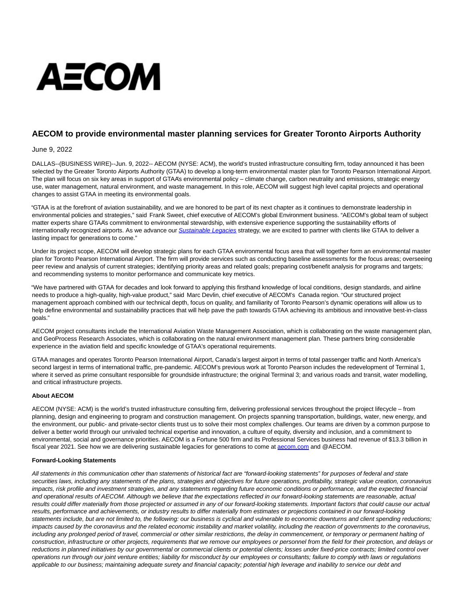## AECOM

## **AECOM to provide environmental master planning services for Greater Toronto Airports Authority**

June 9, 2022

DALLAS--(BUSINESS WIRE)--Jun. 9, 2022-- AECOM (NYSE: ACM), the world's trusted infrastructure consulting firm, today announced it has been selected by the Greater Toronto Airports Authority (GTAA) to develop a long-term environmental master plan for Toronto Pearson International Airport. The plan will focus on six key areas in support of GTAA's environmental policy – climate change, carbon neutrality and emissions, strategic energy use, water management, natural environment, and waste management. In this role, AECOM will suggest high level capital projects and operational changes to assist GTAA in meeting its environmental goals.

"GTAA is at the forefront of aviation sustainability, and we are honored to be part of its next chapter as it continues to demonstrate leadership in environmental policies and strategies," said Frank Sweet, chief executive of AECOM's global Environment business. "AECOM's global team of subject matter experts share GTAA's commitment to environmental stewardship, with extensive experience supporting the sustainability efforts of internationally recognized airports. As we advance our [Sustainable Legacies](https://cts.businesswire.com/ct/CT?id=smartlink&url=https%3A%2F%2Fpublications.aecom.com%2Fsustainable-legacies%2F&esheet=52744349&newsitemid=20220609005173&lan=en-US&anchor=Sustainable+Legacies&index=1&md5=3b1d61f6cd0ec691a113a141f9ab90e8) strategy, we are excited to partner with clients like GTAA to deliver a lasting impact for generations to come."

Under its project scope, AECOM will develop strategic plans for each GTAA environmental focus area that will together form an environmental master plan for Toronto Pearson International Airport. The firm will provide services such as conducting baseline assessments for the focus areas; overseeing peer review and analysis of current strategies; identifying priority areas and related goals; preparing cost/benefit analysis for programs and targets; and recommending systems to monitor performance and communicate key metrics.

"We have partnered with GTAA for decades and look forward to applying this firsthand knowledge of local conditions, design standards, and airline needs to produce a high-quality, high-value product," said Marc Devlin, chief executive of AECOM's Canada region. "Our structured project management approach combined with our technical depth, focus on quality, and familiarity of Toronto Pearson's dynamic operations will allow us to help define environmental and sustainability practices that will help pave the path towards GTAA achieving its ambitious and innovative best-in-class goals."

AECOM project consultants include the International Aviation Waste Management Association, which is collaborating on the waste management plan, and GeoProcess Research Associates, which is collaborating on the natural environment management plan. These partners bring considerable experience in the aviation field and specific knowledge of GTAA's operational requirements.

GTAA manages and operates Toronto Pearson International Airport, Canada's largest airport in terms of total passenger traffic and North America's second largest in terms of international traffic, pre-pandemic. AECOM's previous work at Toronto Pearson includes the redevelopment of Terminal 1, where it served as prime consultant responsible for groundside infrastructure; the original Terminal 3; and various roads and transit, water modelling, and critical infrastructure projects.

## **About AECOM**

AECOM (NYSE: ACM) is the world's trusted infrastructure consulting firm, delivering professional services throughout the project lifecycle – from planning, design and engineering to program and construction management. On projects spanning transportation, buildings, water, new energy, and the environment, our public- and private-sector clients trust us to solve their most complex challenges. Our teams are driven by a common purpose to deliver a better world through our unrivaled technical expertise and innovation, a culture of equity, diversity and inclusion, and a commitment to environmental, social and governance priorities. AECOM is a Fortune 500 firm and its Professional Services business had revenue of \$13.3 billion in fiscal year 2021. See how we are delivering sustainable legacies for generations to come at [aecom.com a](http://aecom.com/)nd @AECOM.

## **Forward-Looking Statements**

All statements in this communication other than statements of historical fact are "forward-looking statements" for purposes of federal and state securities laws, including any statements of the plans, strategies and objectives for future operations, profitability, strategic value creation, coronavirus impacts, risk profile and investment strategies, and any statements regarding future economic conditions or performance, and the expected financial and operational results of AECOM. Although we believe that the expectations reflected in our forward-looking statements are reasonable, actual results could differ materially from those projected or assumed in any of our forward-looking statements. Important factors that could cause our actual results, performance and achievements, or industry results to differ materially from estimates or projections contained in our forward-looking statements include, but are not limited to, the following: our business is cyclical and vulnerable to economic downturns and client spending reductions; impacts caused by the coronavirus and the related economic instability and market volatility, including the reaction of governments to the coronavirus, including any prolonged period of travel, commercial or other similar restrictions, the delay in commencement, or temporary or permanent halting of construction, infrastructure or other projects, requirements that we remove our employees or personnel from the field for their protection, and delays or reductions in planned initiatives by our governmental or commercial clients or potential clients; losses under fixed-price contracts; limited control over operations run through our joint venture entities; liability for misconduct by our employees or consultants; failure to comply with laws or regulations applicable to our business; maintaining adequate surety and financial capacity; potential high leverage and inability to service our debt and